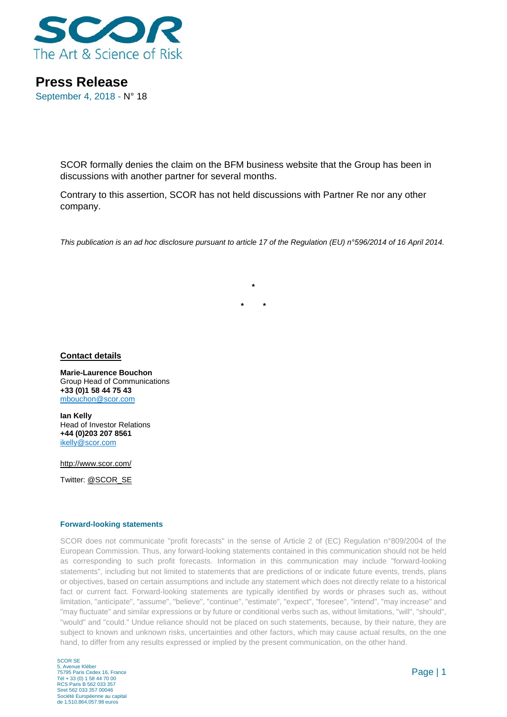

**Press Release** September 4, 2018 - N° 18

> SCOR formally denies the claim on the BFM business website that the Group has been in discussions with another partner for several months.

Contrary to this assertion, SCOR has not held discussions with Partner Re nor any other company.

*This publication is an ad hoc disclosure pursuant to article 17 of the Regulation (EU) n°596/2014 of 16 April 2014.*

**\***

**\* \***

**Contact details**

**Marie-Laurence Bouchon** Group Head of Communications **+33 (0)1 58 44 75 43** [mbouchon@scor.com](mailto:mbouchon@scor.com)

**Ian Kelly** Head of Investor Relations **+44 (0)203 207 8561** [ikelly@scor.com](mailto:ikelly@scor.com)

[http://www.scor.com/](http://www.scor.com/en/)

Twitter: [@SCOR\\_SE](https://twitter.com/SCOR_SE)

## **Forward-looking statements**

SCOR does not communicate "profit forecasts" in the sense of Article 2 of (EC) Regulation n°809/2004 of the European Commission. Thus, any forward-looking statements contained in this communication should not be held as corresponding to such profit forecasts. Information in this communication may include "forward-looking statements", including but not limited to statements that are predictions of or indicate future events, trends, plans or objectives, based on certain assumptions and include any statement which does not directly relate to a historical fact or current fact. Forward-looking statements are typically identified by words or phrases such as, without limitation, "anticipate", "assume", "believe", "continue", "estimate", "expect", "foresee", "intend", "may increase" and "may fluctuate" and similar expressions or by future or conditional verbs such as, without limitations, "will", "should", "would" and "could." Undue reliance should not be placed on such statements, because, by their nature, they are subject to known and unknown risks, uncertainties and other factors, which may cause actual results, on the one hand, to differ from any results expressed or implied by the present communication, on the other hand.

SCOR SE 5, Avenue Kléber 75795 Paris Cedex 16, France Tél + 33 (0) 1 58 44 70 00 RCS Paris B 562 033 357 Siret 562 033 357 00046 Société Européenne au capital de 1,510,864,057.98 euros